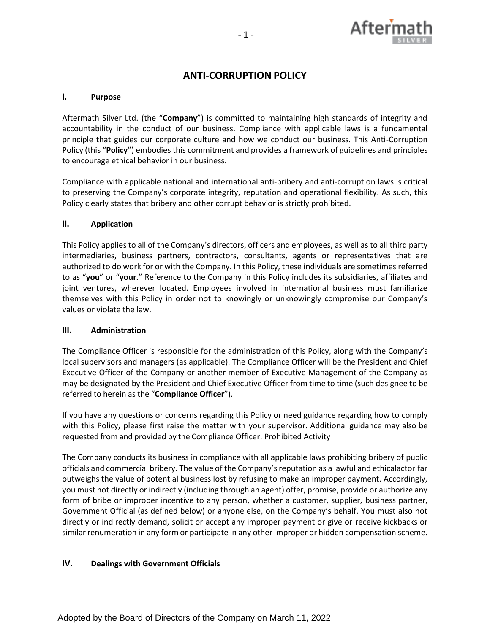

# **ANTI-CORRUPTION POLICY**

# **I. Purpose**

Aftermath Silver Ltd. (the "**Company**") is committed to maintaining high standards of integrity and accountability in the conduct of our business. Compliance with applicable laws is a fundamental principle that guides our corporate culture and how we conduct our business. This Anti-Corruption Policy (this "**Policy**") embodies this commitment and provides a framework of guidelines and principles to encourage ethical behavior in our business.

Compliance with applicable national and international anti-bribery and anti-corruption laws is critical to preserving the Company's corporate integrity, reputation and operational flexibility. As such, this Policy clearly states that bribery and other corrupt behavior is strictly prohibited.

## **II. Application**

This Policy applies to all of the Company's directors, officers and employees, as well as to all third party intermediaries, business partners, contractors, consultants, agents or representatives that are authorized to do work for or with the Company. In this Policy, these individuals are sometimes referred to as "**you**" or "**your.**" Reference to the Company in this Policy includes its subsidiaries, affiliates and joint ventures, wherever located. Employees involved in international business must familiarize themselves with this Policy in order not to knowingly or unknowingly compromise our Company's values or violate the law.

#### **III. Administration**

The Compliance Officer is responsible for the administration of this Policy, along with the Company's local supervisors and managers (as applicable). The Compliance Officer will be the President and Chief Executive Officer of the Company or another member of Executive Management of the Company as may be designated by the President and Chief Executive Officer from time to time (such designee to be referred to herein as the "**Compliance Officer**").

If you have any questions or concerns regarding this Policy or need guidance regarding how to comply with this Policy, please first raise the matter with your supervisor. Additional guidance may also be requested from and provided by the Compliance Officer. Prohibited Activity

The Company conducts its business in compliance with all applicable laws prohibiting bribery of public officials and commercial bribery. The value of the Company'sreputation as a lawful and ethicalactor far outweighs the value of potential business lost by refusing to make an improper payment. Accordingly, you must not directly or indirectly (including through an agent) offer, promise, provide or authorize any form of bribe or improper incentive to any person, whether a customer, supplier, business partner, Government Official (as defined below) or anyone else, on the Company's behalf. You must also not directly or indirectly demand, solicit or accept any improper payment or give or receive kickbacks or similar renumeration in any form or participate in any other improper or hidden compensation scheme.

# **IV. Dealings with Government Officials**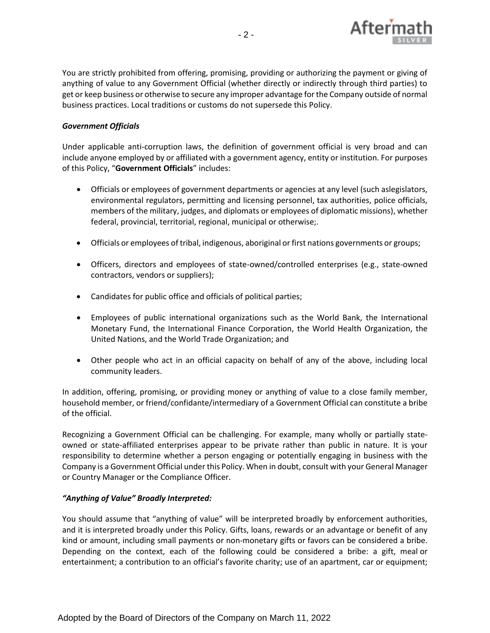

You are strictly prohibited from offering, promising, providing or authorizing the payment or giving of anything of value to any Government Official (whether directly or indirectly through third parties) to get or keep business or otherwise to secure any improper advantage for the Company outside of normal business practices. Local traditions or customs do not supersede this Policy.

# *Government Officials*

Under applicable anti-corruption laws, the definition of government official is very broad and can include anyone employed by or affiliated with a government agency, entity or institution. For purposes of this Policy, "**Government Officials**" includes:

- Officials or employees of government departments or agencies at any level (such aslegislators, environmental regulators, permitting and licensing personnel, tax authorities, police officials, members of the military, judges, and diplomats or employees of diplomatic missions), whether federal, provincial, territorial, regional, municipal or otherwise;.
- Officials or employees of tribal, indigenous, aboriginal or first nations governments or groups;
- Officers, directors and employees of state-owned/controlled enterprises (e.g., state-owned contractors, vendors or suppliers);
- Candidates for public office and officials of political parties;
- Employees of public international organizations such as the World Bank, the International Monetary Fund, the International Finance Corporation, the World Health Organization, the United Nations, and the World Trade Organization; and
- Other people who act in an official capacity on behalf of any of the above, including local community leaders.

In addition, offering, promising, or providing money or anything of value to a close family member, household member, or friend/confidante/intermediary of a Government Official can constitute a bribe of the official.

Recognizing a Government Official can be challenging. For example, many wholly or partially stateowned or state-affiliated enterprises appear to be private rather than public in nature. It is your responsibility to determine whether a person engaging or potentially engaging in business with the Company is a Government Official under this Policy. When in doubt, consult with your General Manager or Country Manager or the Compliance Officer.

#### *"Anything of Value" Broadly Interpreted:*

You should assume that "anything of value" will be interpreted broadly by enforcement authorities, and it is interpreted broadly under this Policy. Gifts, loans, rewards or an advantage or benefit of any kind or amount, including small payments or non-monetary gifts or favors can be considered a bribe. Depending on the context, each of the following could be considered a bribe: a gift, meal or entertainment; a contribution to an official's favorite charity; use of an apartment, car or equipment;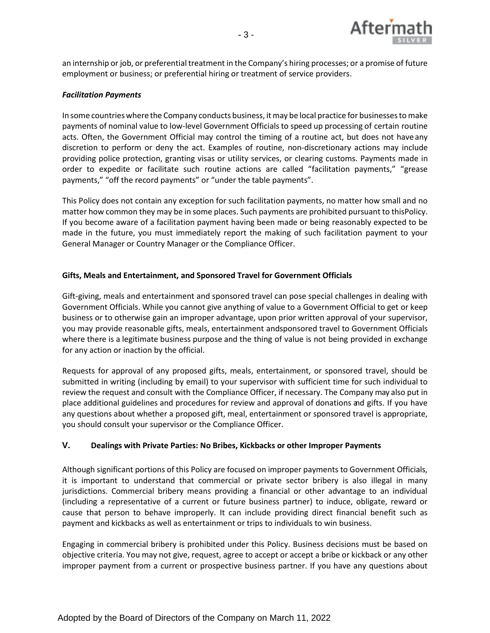

an internship or job, or preferential treatment in the Company's hiring processes; or a promise of future employment or business; or preferential hiring or treatment of service providers.

#### *Facilitation Payments*

In some countrieswhere the Company conducts business, itmay be local practice for businessesto make payments of nominal value to low-level Government Officials to speed up processing of certain routine acts. Often, the Government Official may control the timing of a routine act, but does not haveany discretion to perform or deny the act. Examples of routine, non-discretionary actions may include providing police protection, granting visas or utility services, or clearing customs. Payments made in order to expedite or facilitate such routine actions are called "facilitation payments," "grease payments," "off the record payments" or "under the table payments".

This Policy does not contain any exception for such facilitation payments, no matter how small and no matter how common they may be in some places. Such payments are prohibited pursuant to thisPolicy. If you become aware of a facilitation payment having been made or being reasonably expected to be made in the future, you must immediately report the making of such facilitation payment to your General Manager or Country Manager or the Compliance Officer.

## **Gifts, Meals and Entertainment, and Sponsored Travel for Government Officials**

Gift-giving, meals and entertainment and sponsored travel can pose special challenges in dealing with Government Officials. While you cannot give anything of value to a Government Official to get or keep business or to otherwise gain an improper advantage, upon prior written approval of your supervisor, you may provide reasonable gifts, meals, entertainment andsponsored travel to Government Officials where there is a legitimate business purpose and the thing of value is not being provided in exchange for any action or inaction by the official.

Requests for approval of any proposed gifts, meals, entertainment, or sponsored travel, should be submitted in writing (including by email) to your supervisor with sufficient time for such individual to review the request and consult with the Compliance Officer, if necessary. The Company may also put in place additional guidelines and procedures for review and approval of donations and gifts. If you have any questions about whether a proposed gift, meal, entertainment or sponsored travel is appropriate, you should consult your supervisor or the Compliance Officer.

# **V. Dealings with Private Parties: No Bribes, Kickbacks or other Improper Payments**

Although significant portions of this Policy are focused on improper payments to Government Officials, it is important to understand that commercial or private sector bribery is also illegal in many jurisdictions. Commercial bribery means providing a financial or other advantage to an individual (including a representative of a current or future business partner) to induce, obligate, reward or cause that person to behave improperly. It can include providing direct financial benefit such as payment and kickbacks as well as entertainment or trips to individuals to win business.

Engaging in commercial bribery is prohibited under this Policy. Business decisions must be based on objective criteria. You may not give, request, agree to accept or accept a bribe or kickback or any other improper payment from a current or prospective business partner. If you have any questions about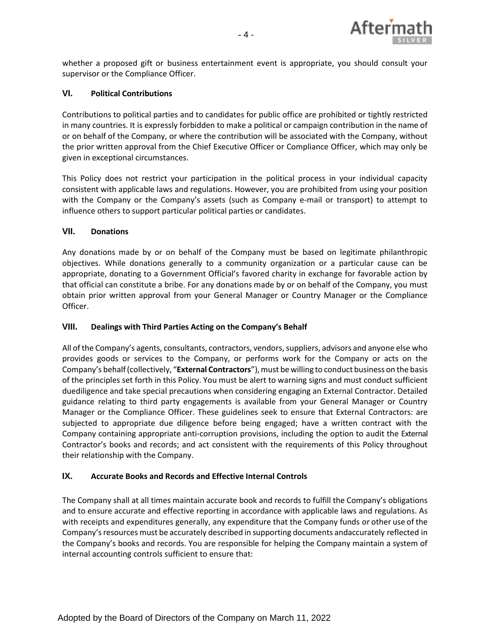

whether a proposed gift or business entertainment event is appropriate, you should consult your supervisor or the Compliance Officer.

# **VI. Political Contributions**

Contributions to political parties and to candidates for public office are prohibited or tightly restricted in many countries. It is expressly forbidden to make a political or campaign contribution in the name of or on behalf of the Company, or where the contribution will be associated with the Company, without the prior written approval from the Chief Executive Officer or Compliance Officer, which may only be given in exceptional circumstances.

This Policy does not restrict your participation in the political process in your individual capacity consistent with applicable laws and regulations. However, you are prohibited from using your position with the Company or the Company's assets (such as Company e-mail or transport) to attempt to influence others to support particular political parties or candidates.

# **VII. Donations**

Any donations made by or on behalf of the Company must be based on legitimate philanthropic objectives. While donations generally to a community organization or a particular cause can be appropriate, donating to a Government Official's favored charity in exchange for favorable action by that official can constitute a bribe. For any donations made by or on behalf of the Company, you must obtain prior written approval from your General Manager or Country Manager or the Compliance Officer.

# **VIII. Dealings with Third Parties Acting on the Company's Behalf**

All of the Company's agents, consultants, contractors, vendors,suppliers, advisors and anyone else who provides goods or services to the Company, or performs work for the Company or acts on the Company's behalf (collectively, "External Contractors"), must be willing to conduct business on the basis of the principles set forth in this Policy. You must be alert to warning signs and must conduct sufficient duediligence and take special precautions when considering engaging an External Contractor. Detailed guidance relating to third party engagements is available from your General Manager or Country Manager or the Compliance Officer. These guidelines seek to ensure that External Contractors: are subjected to appropriate due diligence before being engaged; have a written contract with the Company containing appropriate anti-corruption provisions, including the option to audit the External Contractor's books and records; and act consistent with the requirements of this Policy throughout their relationship with the Company.

# **IX. Accurate Books and Records and Effective Internal Controls**

The Company shall at all times maintain accurate book and records to fulfill the Company's obligations and to ensure accurate and effective reporting in accordance with applicable laws and regulations. As with receipts and expenditures generally, any expenditure that the Company funds or other use of the Company'sresources must be accurately described in supporting documents andaccurately reflected in the Company's books and records. You are responsible for helping the Company maintain a system of internal accounting controls sufficient to ensure that: